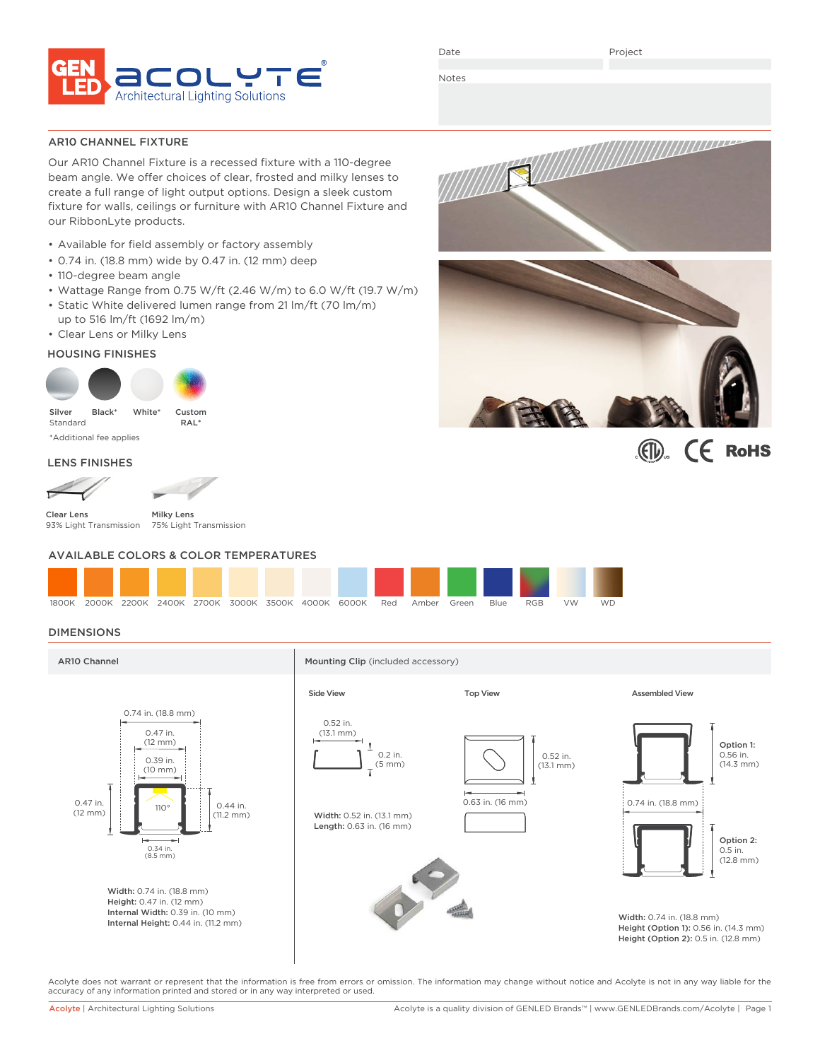

Date

Project

Notes

AR10 CHANNEL FIXTURE

Our AR10 Channel Fixture is a recessed fixture with a 110-degree beam angle. We offer choices of clear, frosted and milky lenses to create a full range of light output options. Design a sleek custom fixture for walls, ceilings or furniture with AR10 Channel Fixture and our RibbonLyte products.

- Available for field assembly or factory assembly
- 0.74 in. (18.8 mm) wide by 0.47 in. (12 mm) deep
- 110-degree beam angle
- Wattage Range from 0.75 W/ft (2.46 W/m) to 6.0 W/ft (19.7 W/m)
- Static White delivered lumen range from 21 lm/ft (70 lm/m) up to 516 lm/ft (1692 lm/m)
- Clear Lens or Milky Lens

### HOUSING FINISHES



\*Additional fee applies

### LENS FINISHES

Clear Lens 93% Light Transmission

Milky Lens 75% Light Transmission

### AVAILABLE COLORS & COLOR TEMPERATURES



### DIMENSIONS



Acolyte does not warrant or represent that the information is free from errors or omission. The information may change without notice and Acolyte is not in any way liable for the accuracy of any information printed and stored or in any way interpreted or used.





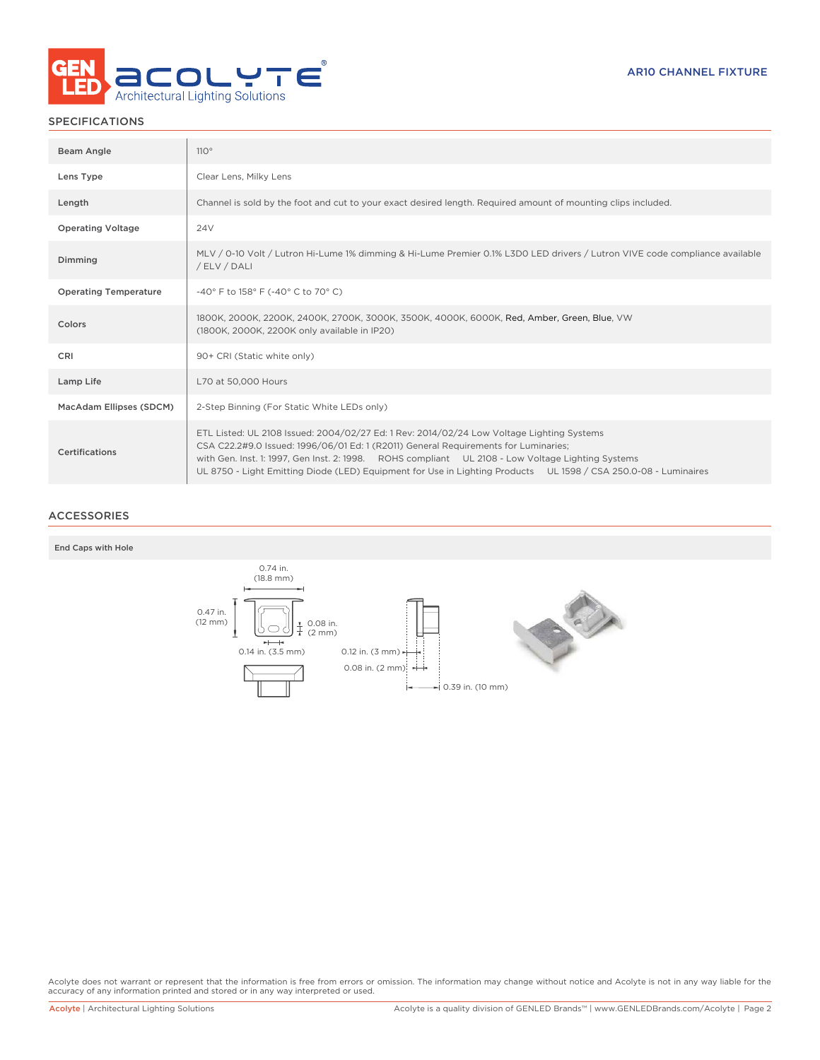

### SPECIFICATIONS

| Beam Angle                   | 110°                                                                                                                                                                                                                                                                                                                                                                                                     |
|------------------------------|----------------------------------------------------------------------------------------------------------------------------------------------------------------------------------------------------------------------------------------------------------------------------------------------------------------------------------------------------------------------------------------------------------|
| Lens Type                    | Clear Lens, Milky Lens                                                                                                                                                                                                                                                                                                                                                                                   |
| Length                       | Channel is sold by the foot and cut to your exact desired length. Required amount of mounting clips included.                                                                                                                                                                                                                                                                                            |
| <b>Operating Voltage</b>     | 24 <sub>V</sub>                                                                                                                                                                                                                                                                                                                                                                                          |
| Dimming                      | MLV / 0-10 Volt / Lutron Hi-Lume 1% dimming & Hi-Lume Premier 0.1% L3D0 LED drivers / Lutron VIVE code compliance available<br>/ ELV / DALI                                                                                                                                                                                                                                                              |
| <b>Operating Temperature</b> | -40° F to 158° F (-40° C to 70° C)                                                                                                                                                                                                                                                                                                                                                                       |
| Colors                       | 1800K, 2000K, 2200K, 2400K, 2700K, 3000K, 3500K, 4000K, 6000K, Red, Amber, Green, Blue, VW<br>(1800K, 2000K, 2200K only available in IP20)                                                                                                                                                                                                                                                               |
| CRI                          | 90+ CRI (Static white only)                                                                                                                                                                                                                                                                                                                                                                              |
| Lamp Life                    | L70 at 50,000 Hours                                                                                                                                                                                                                                                                                                                                                                                      |
| MacAdam Ellipses (SDCM)      | 2-Step Binning (For Static White LEDs only)                                                                                                                                                                                                                                                                                                                                                              |
| Certifications               | ETL Listed: UL 2108 Issued: 2004/02/27 Ed: 1 Rev: 2014/02/24 Low Voltage Lighting Systems<br>CSA C22.2#9.0 Issued: 1996/06/01 Ed: 1 (R2011) General Requirements for Luminaries;<br>with Gen. Inst. 1: 1997, Gen Inst. 2: 1998. ROHS compliant UL 2108 - Low Voltage Lighting Systems<br>UL 8750 - Light Emitting Diode (LED) Equipment for Use in Lighting Products UL 1598 / CSA 250.0-08 - Luminaires |

### ACCESSORIES





Acolyte does not warrant or represent that the information is free from errors or omission. The information may change without notice and Acolyte is not in any way liable for the<br>accuracy of any information printed and sto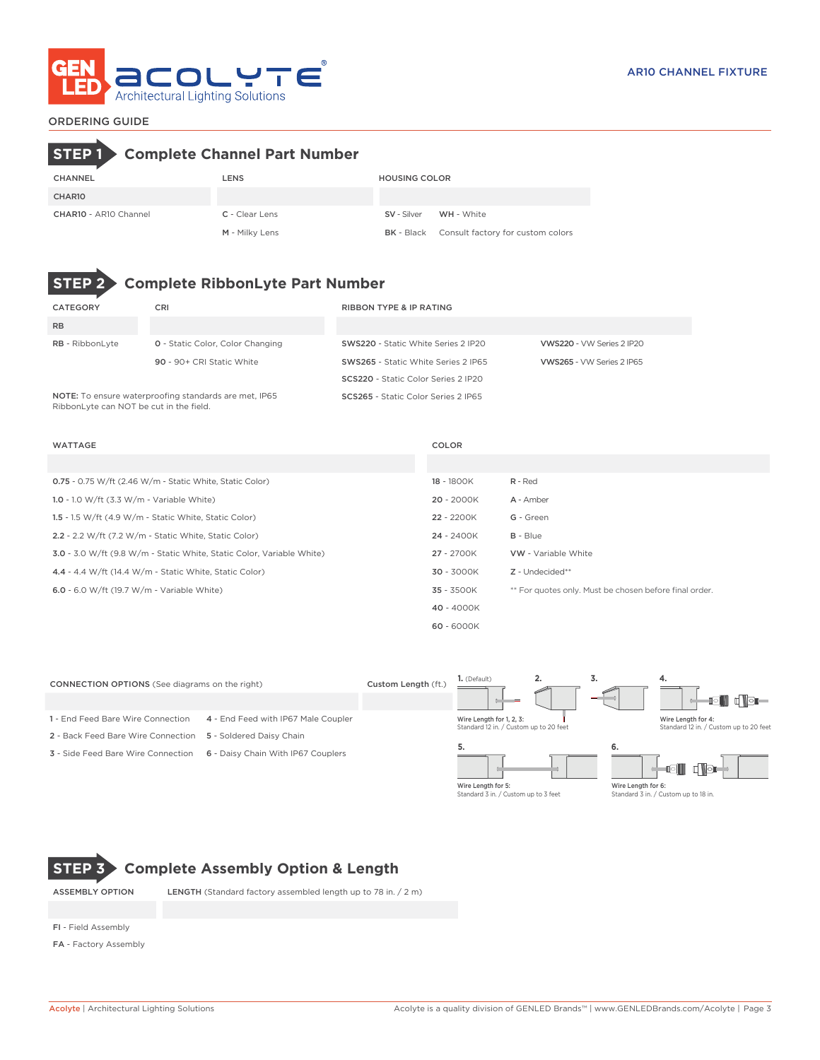

### ORDERING GUIDE

# **STEP 1 Complete Channel Part Number**

| CHANNEL                      | <b>LENS</b>    | <b>HOUSING COLOR</b> |                                                     |
|------------------------------|----------------|----------------------|-----------------------------------------------------|
| CHAR <sub>10</sub>           |                |                      |                                                     |
| <b>CHAR10 - AR10 Channel</b> | C - Clear Lens |                      | SV - Silver WH - White                              |
|                              | M - Milky Lens |                      | <b>BK</b> - Black Consult factory for custom colors |



## **STEP 2 Complete RibbonLyte Part Number**

| CATEGORY                                | CRI                                                   | <b>RIBBON TYPE &amp; IP RATING</b>         |                           |
|-----------------------------------------|-------------------------------------------------------|--------------------------------------------|---------------------------|
| <b>RB</b>                               |                                                       |                                            |                           |
| <b>RB</b> - RibbonLyte                  | <b>0</b> - Static Color, Color Changing               | SWS220 - Static White Series 2 IP20        | VWS220 - VW Series 2 IP20 |
|                                         | 90 - 90+ CRI Static White                             | SWS265 - Static White Series 2 IP65        | VWS265 - VW Series 2 IP65 |
|                                         |                                                       | <b>SCS220</b> - Static Color Series 2 IP20 |                           |
| RibbonLyte can NOT be cut in the field. | NOTE: To ensure waterproofing standards are met, IP65 | SCS265 - Static Color Series 2 IP65        |                           |

| <b>WATTAGE</b>                                                        | COLOR      |                                                        |
|-----------------------------------------------------------------------|------------|--------------------------------------------------------|
|                                                                       |            |                                                        |
| 0.75 - 0.75 W/ft (2.46 W/m - Static White, Static Color)              | 18 - 1800K | R - Red                                                |
| 1.0 - 1.0 W/ft $(3.3 W/m - Variable White)$                           | 20 - 2000K | A - Amber                                              |
| 1.5 - 1.5 W/ft (4.9 W/m - Static White, Static Color)                 | 22 - 2200K | G - Green                                              |
| 2.2 - 2.2 W/ft (7.2 W/m - Static White, Static Color)                 | 24 - 2400K | $B - Blue$                                             |
| 3.0 - 3.0 W/ft (9.8 W/m - Static White, Static Color, Variable White) | 27 - 2700K | <b>VW</b> - Variable White                             |
| 4.4 - 4.4 W/ft (14.4 W/m - Static White, Static Color)                | 30 - 3000K | Z - Undecided**                                        |
| 6.0 - 6.0 W/ft (19.7 W/m - Variable White)                            | 35 - 3500K | ** For quotes only. Must be chosen before final order. |
|                                                                       | 40 - 4000K |                                                        |
|                                                                       | 60 - 6000K |                                                        |

| <b>CONNECTION OPTIONS</b> (See diagrams on the right) |                                     | Custom Length (ft.) | $1.$ (Default)                                                     | <u>.</u> | J.                                                                                                                                                                                                                                                                                                                                                                                                                                                                                    | 4.                                                                                                                                                                                                                                                                                                                                                                                                                                                                                                                                                 |
|-------------------------------------------------------|-------------------------------------|---------------------|--------------------------------------------------------------------|----------|---------------------------------------------------------------------------------------------------------------------------------------------------------------------------------------------------------------------------------------------------------------------------------------------------------------------------------------------------------------------------------------------------------------------------------------------------------------------------------------|----------------------------------------------------------------------------------------------------------------------------------------------------------------------------------------------------------------------------------------------------------------------------------------------------------------------------------------------------------------------------------------------------------------------------------------------------------------------------------------------------------------------------------------------------|
|                                                       |                                     |                     |                                                                    |          | $-$                                                                                                                                                                                                                                                                                                                                                                                                                                                                                   | asii<br>$\begin{tabular}{c} \top \end{tabular} \begin{tabular}{c} \top \end{tabular} \begin{tabular}{c} \top \end{tabular} \begin{tabular}{c} \top \end{tabular} \end{tabular} \begin{tabular}{c} \top \end{tabular} \begin{tabular}{c} \top \end{tabular} \end{tabular} \begin{tabular}{c} \top \end{tabular} \end{tabular} \begin{tabular}{c} \top \end{tabular} \begin{tabular}{c} \top \end{tabular} \end{tabular} \begin{tabular}{c} \top \end{tabular} \end{tabular} \begin{tabular}{c} \top \end{tabular} \begin{tabular}{c} \top \end{tab$ |
| 1 - End Feed Bare Wire Connection                     | 4 - End Feed with IP67 Male Coupler |                     | Wire Length for 1, 2, 3:<br>Standard 12 in. / Custom up to 20 feet |          |                                                                                                                                                                                                                                                                                                                                                                                                                                                                                       | Wire Length for 4:<br>Standard 12 in. / Custom up to 20 feet                                                                                                                                                                                                                                                                                                                                                                                                                                                                                       |
| 2 - Back Feed Bare Wire Connection                    | 5 - Soldered Daisy Chain            |                     |                                                                    |          |                                                                                                                                                                                                                                                                                                                                                                                                                                                                                       |                                                                                                                                                                                                                                                                                                                                                                                                                                                                                                                                                    |
| <b>3</b> - Side Feed Bare Wire Connection             | 6 - Daisy Chain With IP67 Couplers  |                     |                                                                    |          | 6.                                                                                                                                                                                                                                                                                                                                                                                                                                                                                    | r Nər                                                                                                                                                                                                                                                                                                                                                                                                                                                                                                                                              |
|                                                       |                                     |                     | AAR on the country from the                                        |          | $\mathbf{A} \cdot \mathbf{B} \cdot \mathbf{A} \cdot \mathbf{A} \cdot \mathbf{A} \cdot \mathbf{A} \cdot \mathbf{A} \cdot \mathbf{A} \cdot \mathbf{A} \cdot \mathbf{A} \cdot \mathbf{A} \cdot \mathbf{A} \cdot \mathbf{A} \cdot \mathbf{A} \cdot \mathbf{A} \cdot \mathbf{A} \cdot \mathbf{A} \cdot \mathbf{A} \cdot \mathbf{A} \cdot \mathbf{A} \cdot \mathbf{A} \cdot \mathbf{A} \cdot \mathbf{A} \cdot \mathbf{A} \cdot \mathbf{A} \cdot \mathbf{A} \cdot \mathbf{A} \cdot \mathbf{$ |                                                                                                                                                                                                                                                                                                                                                                                                                                                                                                                                                    |

Wire Length for 5: Standard 3 in. / Custom up to 3 feet

Wire Length for 6: Standard 3 in. / Custom up to 18 in.



## **STEP 3 Complete Assembly Option & Length**

ASSEMBLY OPTION LENGTH (Standard factory assembled length up to 78 in. / 2 m)

FI - Field Assembly

FA - Factory Assembly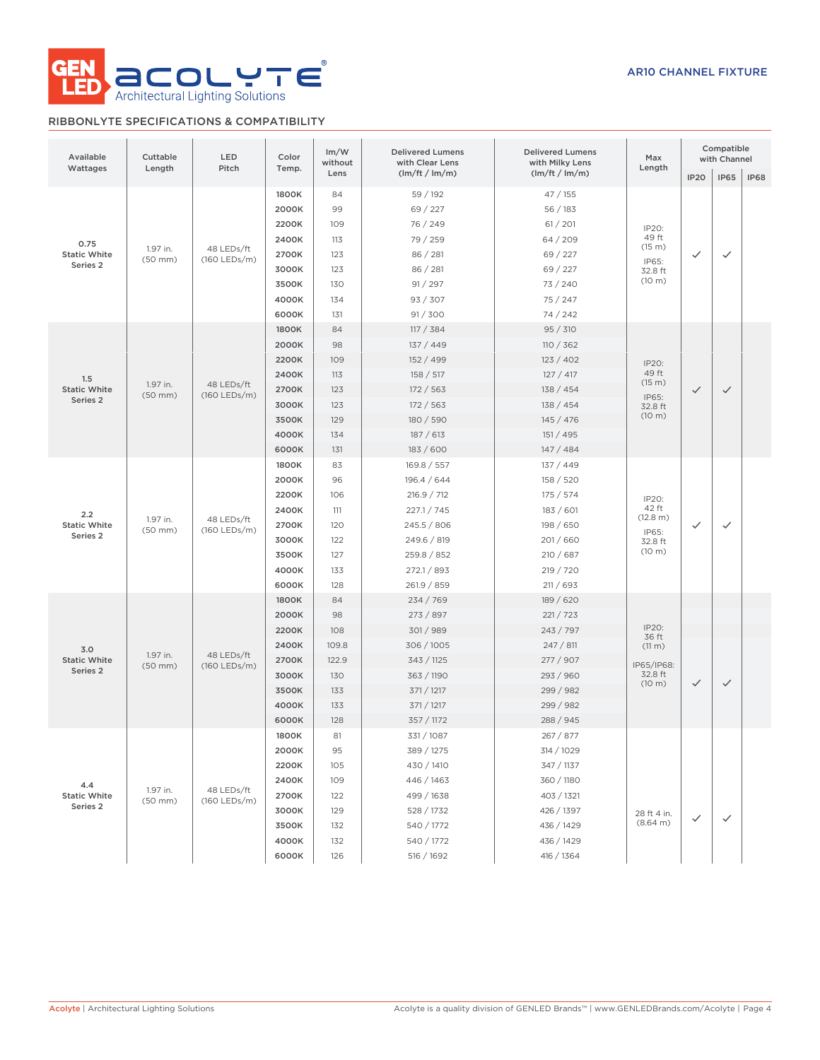

### RIBBONLYTE SPECIFICATIONS & COMPATIBILITY

| Available<br>Wattages | Cuttable<br>Length       | LED<br>Pitch               | Color<br>Temp. | Im/W<br>without | <b>Delivered Lumens</b><br>with Clear Lens | <b>Delivered Lumens</b><br>with Milky Lens | Max<br>Length              |              | Compatible<br>with Channel |             |
|-----------------------|--------------------------|----------------------------|----------------|-----------------|--------------------------------------------|--------------------------------------------|----------------------------|--------------|----------------------------|-------------|
|                       |                          |                            |                | Lens            | (lm/ft / lm/m)                             | (lm/ft / lm/m)                             |                            | <b>IP20</b>  | <b>IP65</b>                | <b>IP68</b> |
|                       |                          |                            | 1800K          | 84              | 59 / 192                                   | 47/155                                     |                            |              |                            |             |
|                       |                          |                            | 2000K          | 99              | 69 / 227                                   | 56 / 183                                   |                            |              |                            |             |
|                       |                          |                            | 2200K          | 109             | 76 / 249                                   | 61 / 201                                   | IP20:                      |              |                            |             |
| 0.75                  |                          |                            | 2400K          | 113             | 79 / 259                                   | 64/209                                     | 49 ft                      |              |                            |             |
| <b>Static White</b>   | 1.97 in.<br>$(50$ mm $)$ | 48 LEDs/ft<br>(160 LEDs/m) | 2700K          | 123             | 86 / 281                                   | 69 / 227                                   | (15 m)                     | $\checkmark$ | ✓                          |             |
| Series <sub>2</sub>   |                          |                            | 3000K          | 123             | 86 / 281                                   | 69 / 227                                   | IP65:<br>32.8 ft           |              |                            |             |
|                       |                          |                            | 3500K          | 130             | 91 / 297                                   | 73/240                                     | (10 m)                     |              |                            |             |
|                       |                          |                            | 4000K          | 134             | 93 / 307                                   | 75/247                                     |                            |              |                            |             |
|                       |                          |                            | 6000K          | 131             | 91 / 300                                   | 74 / 242                                   |                            |              |                            |             |
|                       |                          |                            | 1800K          | 84              | 117 / 384                                  | 95 / 310                                   |                            |              |                            |             |
|                       |                          |                            | 2000K          | 98              | 137/449                                    | 110 / 362                                  |                            |              |                            |             |
|                       |                          |                            | 2200K          | 109             | 152 / 499                                  | 123 / 402                                  | IP20:                      |              |                            |             |
| 1.5                   |                          |                            | 2400K          | 113             | 158 / 517                                  | 127 / 417                                  | 49 ft                      |              |                            |             |
| <b>Static White</b>   | 1.97 in.<br>$(50$ mm $)$ | 48 LEDs/ft<br>(160 LEDs/m) | 2700K          | 123             | 172 / 563                                  | 138 / 454                                  | (15 m)                     | $\checkmark$ | $\checkmark$               |             |
| Series 2              |                          |                            | 3000K          | 123             | 172 / 563                                  | 138 / 454                                  | IP65:<br>32.8 ft           |              |                            |             |
|                       |                          |                            | 3500K          | 129             | 180 / 590                                  | 145/476                                    | (10 m)                     |              |                            |             |
|                       |                          |                            | 4000K          | 134             | 187 / 613                                  | 151 / 495                                  |                            |              |                            |             |
|                       |                          |                            | 6000K          | 131             | 183 / 600                                  | 147/484                                    |                            |              |                            |             |
| 2.2                   |                          | 48 LEDs/ft                 | 1800K          | 83              | 169.8 / 557                                | 137 / 449                                  |                            |              |                            |             |
|                       | 1.97 in.<br>$(50$ mm $)$ |                            | 2000K          | 96              | 196.4 / 644                                | 158 / 520                                  |                            |              |                            |             |
|                       |                          |                            | 2200K          | 106             | 216.9 / 712                                | 175/574                                    | IP20:<br>42 ft<br>(12.8 m) |              |                            |             |
|                       |                          |                            | 2400K          | 111             | 227.1 / 745                                | 183/601                                    |                            |              |                            |             |
| <b>Static White</b>   |                          |                            | 2700K          | 120             | 245.5 / 806                                | 198 / 650                                  |                            | $\checkmark$ | ✓                          |             |
| Series <sub>2</sub>   |                          | (160 LEDs/m)               | 3000K          | 122             | 249.6 / 819                                | 201/660                                    | IP65:<br>32.8 ft           |              |                            |             |
|                       |                          |                            | 3500K          | 127             | 259.8 / 852                                | 210/687                                    | (10 m)                     |              |                            |             |
|                       |                          |                            | 4000K          | 133             | 272.1 / 893                                | 219 / 720                                  |                            |              |                            |             |
|                       |                          |                            | 6000K          | 128             | 261.9 / 859                                | 211 / 693                                  |                            |              |                            |             |
|                       |                          |                            | 1800K          | 84              | 234 / 769                                  | 189 / 620                                  |                            |              |                            |             |
|                       |                          |                            | 2000K          | 98              | 273 / 897                                  | 221 / 723                                  |                            |              |                            |             |
|                       |                          |                            | 2200K          | 108             | 301/989                                    | 243 / 797                                  | IP20:                      |              |                            |             |
| 3.0                   |                          |                            | 2400K          | 109.8           | 306/1005                                   | 247 / 811                                  | 36 ft<br>$(11 \text{ m})$  |              |                            |             |
| <b>Static White</b>   | 1.97 in.<br>$(50$ mm $)$ | 48 LEDs/ft<br>(160 LEDs/m) | 2700K          | 122.9           | 343 / 1125                                 | 277 / 907                                  | IP65/IP68:                 |              |                            |             |
| Series 2              |                          |                            | 3000K          | 130             | 363 / 1190                                 | 293 / 960                                  | 32.8 ft                    |              |                            |             |
|                       |                          |                            | 3500K          | 133             | 371 / 1217                                 | 299 / 982                                  | (10 m)                     | $\checkmark$ | $\checkmark$               |             |
|                       |                          |                            | 4000K          | 133             | 371 / 1217                                 | 299 / 982                                  |                            |              |                            |             |
|                       |                          |                            | 6000K          | 128             | 357 / 1172                                 | 288 / 945                                  |                            |              |                            |             |
|                       |                          |                            | 1800K          | 81              | 331 / 1087                                 | 267 / 877                                  |                            |              |                            |             |
|                       |                          |                            | 2000K          | 95              | 389 / 1275                                 | 314 / 1029                                 |                            |              |                            |             |
|                       |                          |                            | 2200K          | 105             | 430 / 1410                                 | 347 / 1137                                 |                            |              |                            |             |
| 4.4                   |                          |                            | 2400K          | 109             | 446 / 1463                                 | 360 / 1180                                 |                            |              |                            |             |
| <b>Static White</b>   | 1.97 in.<br>$(50$ mm $)$ | 48 LEDs/ft<br>(160 LEDs/m) | 2700K          | 122             | 499 / 1638                                 | 403 / 1321                                 |                            |              |                            |             |
| Series 2              |                          |                            | 3000K          | 129             | 528 / 1732                                 | 426 / 1397                                 | 28 ft 4 in.                |              |                            |             |
|                       |                          |                            | 3500K          | 132             | 540 / 1772                                 | 436 / 1429                                 | (8.64 m)                   | $\checkmark$ | $\checkmark$               |             |
|                       |                          |                            | 4000K          | 132             | 540 / 1772                                 | 436 / 1429                                 |                            |              |                            |             |
|                       |                          |                            | 6000K          | 126             | 516 / 1692                                 | 416 / 1364                                 |                            |              |                            |             |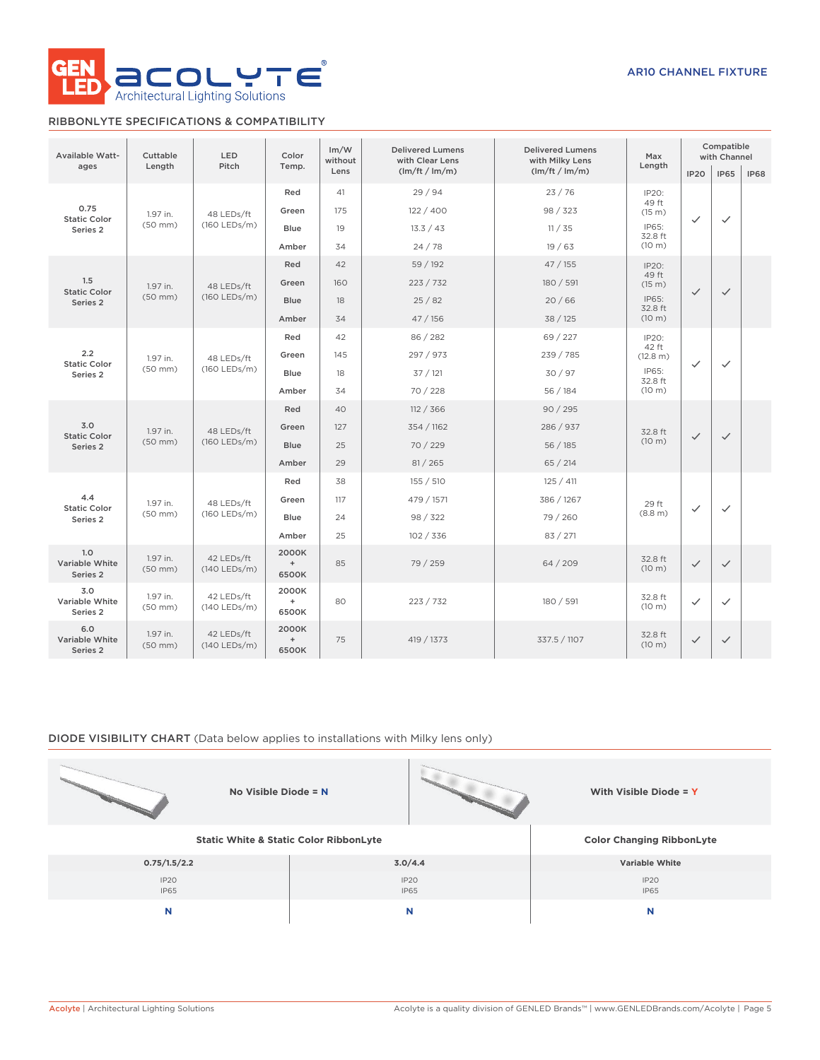

### RIBBONLYTE SPECIFICATIONS & COMPATIBILITY

| <b>Available Watt-</b>            | Cuttable                 | <b>LED</b>                                                                         | Color                                              | Im/W<br>without | <b>Delivered Lumens</b><br>with Clear Lens | <b>Delivered Lumens</b><br>with Milky Lens | Max               |              |              | Compatible<br>with Channel |  |
|-----------------------------------|--------------------------|------------------------------------------------------------------------------------|----------------------------------------------------|-----------------|--------------------------------------------|--------------------------------------------|-------------------|--------------|--------------|----------------------------|--|
| ages                              | Length                   | Pitch                                                                              | Temp.                                              | Lens            | (lm/ft / lm/m)                             | (lm/ft / lm/m)                             | Length            | <b>IP20</b>  | <b>IP65</b>  | <b>IP68</b>                |  |
|                                   |                          |                                                                                    | Red                                                | 41              | 29/94                                      | 23/76                                      | IP20:             |              |              |                            |  |
| 0.75<br><b>Static Color</b>       | 1.97 in.                 | 48 LEDs/ft                                                                         | Green                                              | 175             | 122/400                                    | 98 / 323                                   | 49 ft<br>(15 m)   | $\checkmark$ | $\checkmark$ |                            |  |
| Series 2                          | $(50$ mm $)$             | (160 LEDs/m)                                                                       | <b>Blue</b>                                        | 19              | 13.3 / 43                                  | 11 / 35                                    | IP65:<br>32.8 ft  |              |              |                            |  |
|                                   |                          |                                                                                    | Amber                                              | 34              | 24/78                                      | 19/63                                      | (10 m)            |              |              |                            |  |
|                                   |                          |                                                                                    | Red                                                | 42              | 59 / 192                                   | 47/155                                     | IP20:             |              |              |                            |  |
| 1.5<br><b>Static Color</b>        | 1.97 in.                 | 48 LEDs/ft                                                                         | Green                                              | 160             | 223 / 732                                  | 180 / 591                                  | 49 ft<br>(15 m)   | $\checkmark$ | $\checkmark$ |                            |  |
| Series 2                          | $(50$ mm $)$             | (160 LEDs/m)                                                                       | <b>Blue</b>                                        | 18              | 25/82                                      | 20/66                                      | IP65:<br>32.8 ft  |              |              |                            |  |
|                                   |                          |                                                                                    | Amber                                              | 34              | 47 / 156                                   | 38 / 125                                   | (10 m)            |              |              |                            |  |
|                                   |                          |                                                                                    | Red                                                | 42              | 86 / 282                                   | 69 / 227                                   | IP20:<br>42 ft    | $\checkmark$ |              |                            |  |
| 2.2<br><b>Static Color</b>        | 1.97 in.<br>$(50$ mm $)$ | 48 LEDs/ft<br>(160 LEDs/m)                                                         | Green                                              | 145             | 297 / 973                                  | 239 / 785                                  | (12.8 m)          |              | $\checkmark$ |                            |  |
| Series <sub>2</sub>               |                          |                                                                                    | <b>Blue</b>                                        | 18              | 37/121                                     | 30/97                                      | IP65:<br>32.8 ft  |              |              |                            |  |
|                                   |                          |                                                                                    | Amber                                              | 34              | 70 / 228                                   | 56 / 184                                   | (10 m)            |              |              |                            |  |
|                                   | 1.97 in.<br>$(50$ mm $)$ |                                                                                    | Red                                                | 40              | 112 / 366                                  | 90/295                                     |                   |              |              |                            |  |
| 3.0<br><b>Static Color</b>        |                          | 48 LEDs/ft<br>(160 LEDs/m)                                                         | Green                                              | 127             | 354 / 1162                                 | 286 / 937                                  | 32.8 ft           | $\checkmark$ | $\checkmark$ |                            |  |
| Series 2                          |                          |                                                                                    | Blue                                               | 25              | 70 / 229                                   | 56/185                                     | (10 m)            |              |              |                            |  |
|                                   |                          |                                                                                    | Amber                                              | 29              | 81 / 265                                   | 65/214                                     |                   |              |              |                            |  |
|                                   |                          |                                                                                    | Red                                                | 38              | 155 / 510                                  | 125 / 411                                  |                   |              |              |                            |  |
| 4.4<br><b>Static Color</b>        | 1.97 in.                 | 48 LEDs/ft                                                                         | Green                                              | 117             | 479 / 1571                                 | 386 / 1267                                 | 29 ft             | $\checkmark$ | $\checkmark$ |                            |  |
| Series <sub>2</sub>               | $(50$ mm $)$             | (160 LEDs/m)                                                                       | <b>Blue</b>                                        | 24              | 98 / 322                                   | 79 / 260                                   | (8.8 m)           |              |              |                            |  |
|                                   |                          |                                                                                    | Amber                                              | 25              | 102 / 336                                  | 83 / 271                                   |                   |              |              |                            |  |
| 1.0<br>Variable White<br>Series 2 | 1.97 in.<br>$(50$ mm $)$ | 2000K<br>42 LEDs/ft<br>$\begin{array}{c} + \end{array}$<br>$(140$ LEDs/m)<br>6500K |                                                    | 85              | 79 / 259                                   | 64 / 209                                   | 32.8 ft<br>(10 m) | $\checkmark$ | $\checkmark$ |                            |  |
| 3.0<br>Variable White<br>Series 2 | 1.97 in.<br>$(50$ mm $)$ | 42 LEDs/ft<br>(140 LEDs/m)                                                         | 2000K<br>$\begin{array}{c} + \end{array}$<br>6500K | 80              | 223 / 732                                  | 180 / 591                                  | 32.8 ft<br>(10 m) | $\checkmark$ | $\checkmark$ |                            |  |
| 6.0<br>Variable White<br>Series 2 | 1.97 in.<br>$(50$ mm $)$ | 42 LEDs/ft<br>$(140$ LEDs/m)                                                       | 2000K<br>$\begin{array}{c} + \end{array}$<br>6500K | 75              | 419 / 1373                                 | 337.5 / 1107                               | 32.8 ft<br>(10 m) | $\checkmark$ | $\checkmark$ |                            |  |

### DIODE VISIBILITY CHART (Data below applies to installations with Milky lens only)

| No Visible Diode = N |                                                   | With Visible Diode = Y           |
|----------------------|---------------------------------------------------|----------------------------------|
|                      | <b>Static White &amp; Static Color RibbonLyte</b> | <b>Color Changing RibbonLyte</b> |
| 0.75/1.5/2.2         | 3.0/4.4                                           | Variable White                   |
| IP2O<br><b>IP65</b>  | IP20<br>IP65                                      | IP <sub>20</sub><br><b>IP65</b>  |
| N                    | N                                                 | N                                |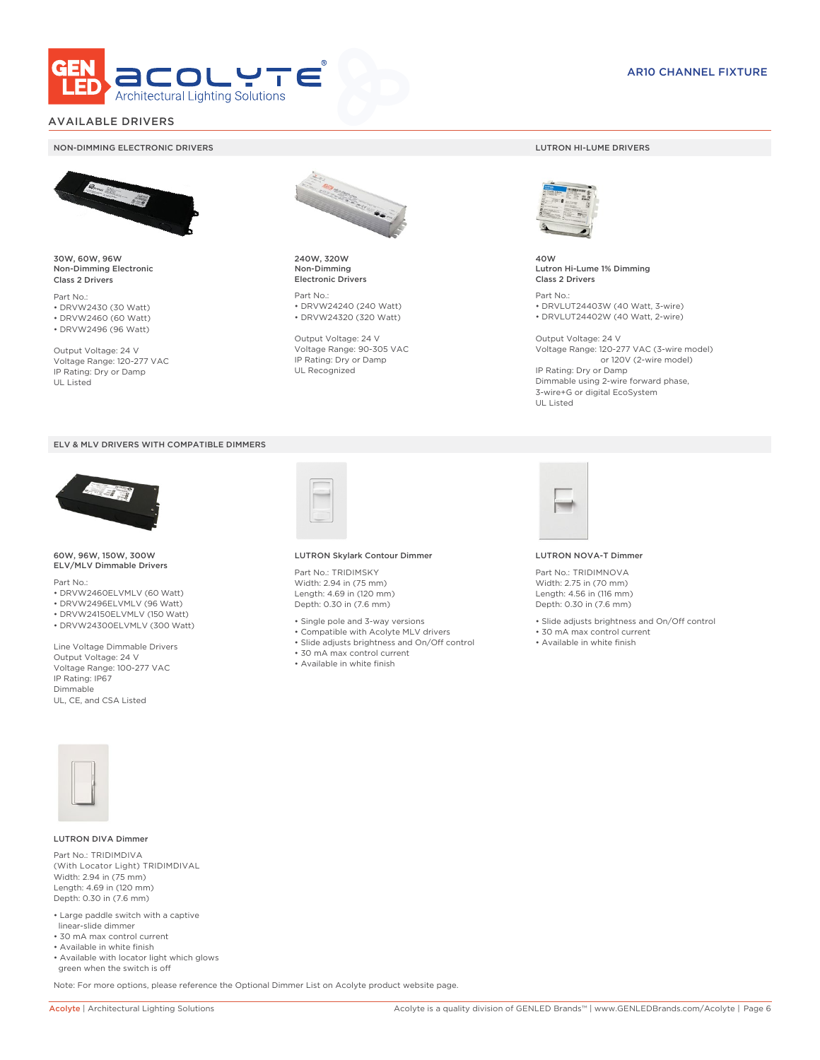

### AVAILABLE DRIVERS

#### NON-DIMMING ELECTRONIC DRIVERS LUTRON HI-LUME DRIVERS



30W, 60W, 96W Non-Dimming Electronic Class 2 Drivers

Part No.: • DRVW2430 (30 Watt) • DRVW2460 (60 Watt)

• DRVW2496 (96 Watt)

Output Voltage: 24 V Voltage Range: 120-277 VAC IP Rating: Dry or Damp UL Listed





60W, 96W, 150W, 300W ELV/MLV Dimmable Drivers

Part No.:

- DRVW2460ELVMLV (60 Watt)
- DRVW2496ELVMLV (96 Watt)
- DRVW24150ELVMLV (150 Watt)
- DRVW24300ELVMLV (300 Watt)

Line Voltage Dimmable Drivers Output Voltage: 24 V Voltage Range: 100-277 VAC IP Rating: IP67 Dimmable UL, CE, and CSA Listed



240W, 320W Non-Dimming Electronic Drivers

Part No.: • DRVW24240 (240 Watt) • DRVW24320 (320 Watt)

Output Voltage: 24 V Voltage Range: 90-305 VAC IP Rating: Dry or Damp UL Recognized



40W Lutron Hi-Lume 1% Dimming Class 2 Drivers

Part No.: • DRVLUT24403W (40 Watt, 3-wire) • DRVLUT24402W (40 Watt, 2-wire)

Output Voltage: 24 V Voltage Range: 120-277 VAC (3-wire model) or 120V (2-wire model) IP Rating: Dry or Damp Dimmable using 2-wire forward phase, 3-wire+G or digital EcoSystem UL Listed



#### LUTRON Skylark Contour Dimmer

Part No.: TRIDIMSKY Width: 2.94 in (75 mm) Length: 4.69 in (120 mm) Depth: 0.30 in (7.6 mm)

- Single pole and 3-way versions
- Compatible with Acolyte MLV drivers
- Slide adjusts brightness and On/Off control
- 30 mA max control current
- Available in white finish



#### LUTRON NOVA-T Dimmer

Part No.: TRIDIMNOVA Width: 2.75 in (70 mm) Length: 4.56 in (116 mm) Depth: 0.30 in (7.6 mm)

- Slide adjusts brightness and On/Off control
- 30 mA max control current
- Available in white finish



#### LUTRON DIVA Dimmer

Part No.: TRIDIMDIVA (With Locator Light) TRIDIMDIVAL Width: 2.94 in (75 mm) Length: 4.69 in (120 mm) Depth: 0.30 in (7.6 mm)

- Large paddle switch with a captive linear-slide dimmer
- 30 mA max control current
- Available in white finish
- Available with locator light which glows green when the switch is off

Note: For more options, please reference the Optional Dimmer List on Acolyte product website page.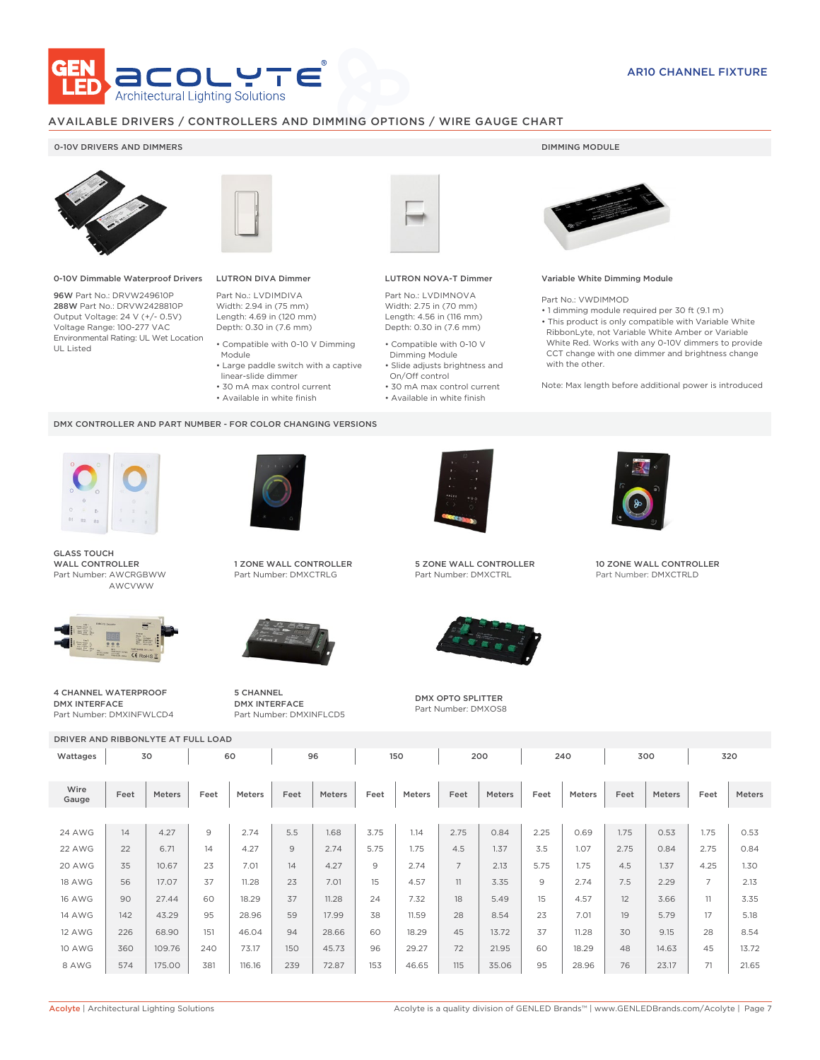

### AVAILABLE DRIVERS / CONTROLLERS AND DIMMING OPTIONS / WIRE GAUGE CHART

### 0-10V DRIVERS AND DIMMERS **DIMMING MODULE**



0-10V Dimmable Waterproof Drivers

96W Part No.: DRVW249610P 288W Part No.: DRVW2428810P Output Voltage: 24 V (+/- 0.5V) Voltage Range: 100-277 VAC Environmental Rating: UL Wet Location UL Listed



## LUTRON DIVA Dimmer

Part No.: LVDIMDIVA Width: 2.94 in (75 mm) Length: 4.69 in (120 mm) Depth: 0.30 in (7.6 mm)

- Compatible with 0-10 V Dimming
- Module • Large paddle switch with a captive
- linear-slide dimmer
- 30 mA max control current
- Available in white finish

#### DMX CONTROLLER AND PART NUMBER - FOR COLOR CHANGING VERSIONS



GLASS TOUCH WALL CONTROLLER Part Number: AWCRGBWW AWCVWW



4 CHANNEL WATERPROOF DMX INTERFACE Part Number: DMXINFWLCD4



1 ZONE WALL CONTROLLER Part Number: DMXCTRLG



5 CHANNEL DMX INTERFACE Part Number: DMXINFLCD5



#### LUTRON NOVA-T Dimmer

Part No.: LVDIMNOVA Width: 2.75 in (70 mm) Length: 4.56 in (116 mm) Depth: 0.30 in (7.6 mm)

- Compatible with 0-10 V Dimming Module
- Slide adjusts brightness and On/Off control
- 30 mA max control current • Available in white finish
	-



#### Variable White Dimming Module

Part No.: VWDIMMOD

- 1 dimming module required per 30 ft (9.1 m)
- This product is only compatible with Variable White RibbonLyte, not Variable White Amber or Variable White Red. Works with any 0-10V dimmers to provide CCT change with one dimmer and brightness change with the other.

Note: Max length before additional power is introduced



5 ZONE WALL CONTROLLER Part Number: DMXCTRL



DMX OPTO SPLITTER Part Number: DMXOS8



10 ZONE WALL CONTROLLER Part Number: DMXCTRLD

| DRIVER AND RIBBONLYTE AT FULL LOAD |      |        |                |        |      |        |      |        |                |        |      |               |      |        |                |        |
|------------------------------------|------|--------|----------------|--------|------|--------|------|--------|----------------|--------|------|---------------|------|--------|----------------|--------|
| Wattages                           |      | 30     |                | 60     |      | 96     |      | 150    |                | 200    |      | 240           |      | 300    |                | 320    |
|                                    |      |        |                |        |      |        |      |        |                |        |      |               |      |        |                |        |
| Wire<br>Gauge                      | Feet | Meters | Feet           | Meters | Feet | Meters | Feet | Meters | Feet           | Meters | Feet | <b>Meters</b> | Feet | Meters | Feet           | Meters |
|                                    |      |        |                |        |      |        |      |        |                |        |      |               |      |        |                |        |
| <b>24 AWG</b>                      | 14   | 4.27   | $\overline{9}$ | 2.74   | 5.5  | 1.68   | 3.75 | 1.14   | 2.75           | 0.84   | 2.25 | 0.69          | 1.75 | 0.53   | 1.75           | 0.53   |
| 22 AWG                             | 22   | 6.71   | 14             | 4.27   | 9    | 2.74   | 5.75 | 1.75   | 4.5            | 1.37   | 3.5  | 1.07          | 2.75 | 0.84   | 2.75           | 0.84   |
| 20 AWG                             | 35   | 10.67  | 23             | 7.01   | 14   | 4.27   | 9    | 2.74   | $\overline{7}$ | 2.13   | 5.75 | 1.75          | 4.5  | 1.37   | 4.25           | 1.30   |
| <b>18 AWG</b>                      | 56   | 17.07  | 37             | 11.28  | 23   | 7.01   | 15   | 4.57   | 11             | 3.35   | 9    | 2.74          | 7.5  | 2.29   | $\overline{7}$ | 2.13   |
| <b>16 AWG</b>                      | 90   | 27.44  | 60             | 18.29  | 37   | 11.28  | 24   | 7.32   | 18             | 5.49   | 15   | 4.57          | 12   | 3.66   | 11             | 3.35   |
| <b>14 AWG</b>                      | 142  | 43.29  | 95             | 28.96  | 59   | 17.99  | 38   | 11.59  | 28             | 8.54   | 23   | 7.01          | 19   | 5.79   | 17             | 5.18   |
| <b>12 AWG</b>                      | 226  | 68.90  | 151            | 46.04  | 94   | 28.66  | 60   | 18.29  | 45             | 13.72  | 37   | 11.28         | 30   | 9.15   | 28             | 8.54   |
| <b>10 AWG</b>                      | 360  | 109.76 | 240            | 73.17  | 150  | 45.73  | 96   | 29.27  | 72             | 21.95  | 60   | 18.29         | 48   | 14.63  | 45             | 13.72  |
| 8 AWG                              | 574  | 175.00 | 381            | 116.16 | 239  | 72.87  | 153  | 46.65  | 115            | 35.06  | 95   | 28.96         | 76   | 23.17  | 71             | 21.65  |